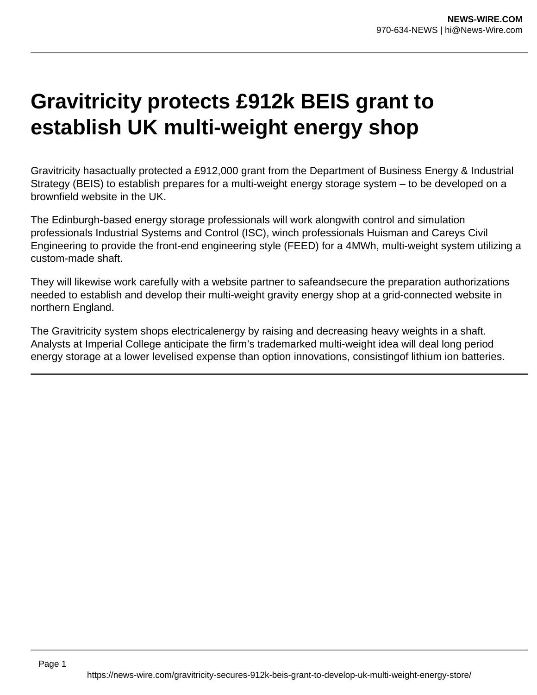## **Gravitricity protects £912k BEIS grant to establish UK multi-weight energy shop**

Gravitricity hasactually protected a £912,000 grant from the Department of Business Energy & Industrial Strategy (BEIS) to establish prepares for a multi-weight energy storage system – to be developed on a brownfield website in the UK.

The Edinburgh-based energy storage professionals will work alongwith control and simulation professionals Industrial Systems and Control (ISC), winch professionals Huisman and Careys Civil Engineering to provide the front-end engineering style (FEED) for a 4MWh, multi-weight system utilizing a custom-made shaft.

They will likewise work carefully with a website partner to safeandsecure the preparation authorizations needed to establish and develop their multi-weight gravity energy shop at a grid-connected website in northern England.

The Gravitricity system shops electricalenergy by raising and decreasing heavy weights in a shaft. Analysts at Imperial College anticipate the firm's trademarked multi-weight idea will deal long period energy storage at a lower levelised expense than option innovations, consistingof lithium ion batteries.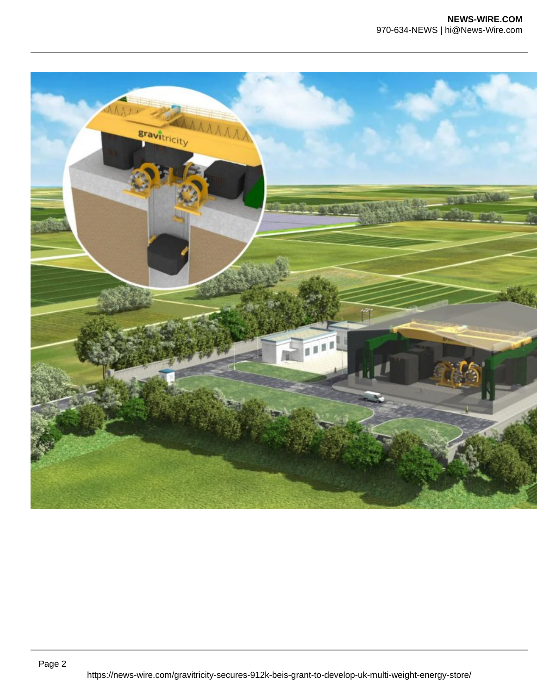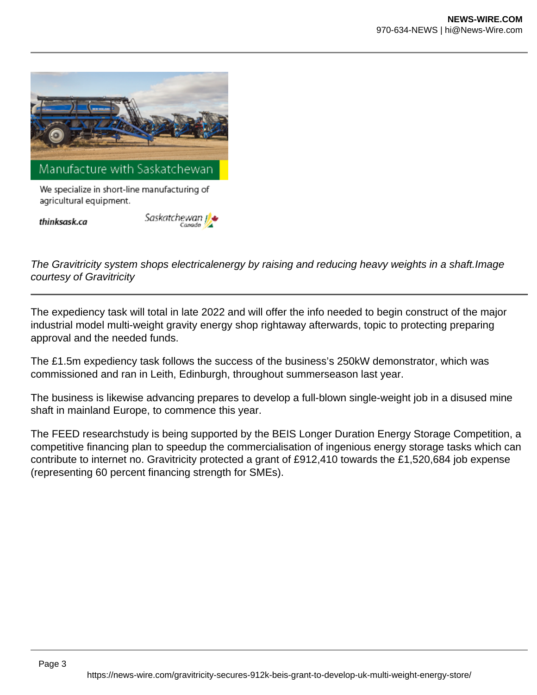

We specialize in short-line manufacturing of agricultural equipment.

thinksask.ca

Saskatchewan J

The Gravitricity system shops electricalenergy by raising and reducing heavy weights in a shaft.Image courtesy of Gravitricity

The expediency task will total in late 2022 and will offer the info needed to begin construct of the major industrial model multi-weight gravity energy shop rightaway afterwards, topic to protecting preparing approval and the needed funds.

The £1.5m expediency task follows the success of the business's 250kW demonstrator, which was commissioned and ran in Leith, Edinburgh, throughout summerseason last year.

The business is likewise advancing prepares to develop a full-blown single-weight job in a disused mine shaft in mainland Europe, to commence this year.

The FEED researchstudy is being supported by the BEIS Longer Duration Energy Storage Competition, a competitive financing plan to speedup the commercialisation of ingenious energy storage tasks which can contribute to internet no. Gravitricity protected a grant of £912,410 towards the £1,520,684 job expense (representing 60 percent financing strength for SMEs).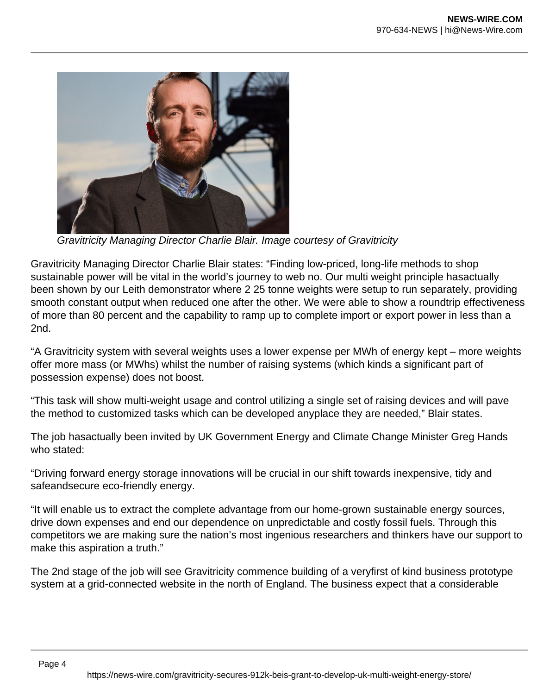

Gravitricity Managing Director Charlie Blair. Image courtesy of Gravitricity

Gravitricity Managing Director Charlie Blair states: "Finding low-priced, long-life methods to shop sustainable power will be vital in the world's journey to web no. Our multi weight principle hasactually been shown by our Leith demonstrator where 2 25 tonne weights were setup to run separately, providing smooth constant output when reduced one after the other. We were able to show a roundtrip effectiveness of more than 80 percent and the capability to ramp up to complete import or export power in less than a 2nd.

"A Gravitricity system with several weights uses a lower expense per MWh of energy kept – more weights offer more mass (or MWhs) whilst the number of raising systems (which kinds a significant part of possession expense) does not boost.

"This task will show multi-weight usage and control utilizing a single set of raising devices and will pave the method to customized tasks which can be developed anyplace they are needed," Blair states.

The job hasactually been invited by UK Government Energy and Climate Change Minister Greg Hands who stated:

"Driving forward energy storage innovations will be crucial in our shift towards inexpensive, tidy and safeandsecure eco-friendly energy.

"It will enable us to extract the complete advantage from our home-grown sustainable energy sources, drive down expenses and end our dependence on unpredictable and costly fossil fuels. Through this competitors we are making sure the nation's most ingenious researchers and thinkers have our support to make this aspiration a truth."

The 2nd stage of the job will see Gravitricity commence building of a veryfirst of kind business prototype system at a grid-connected website in the north of England. The business expect that a considerable